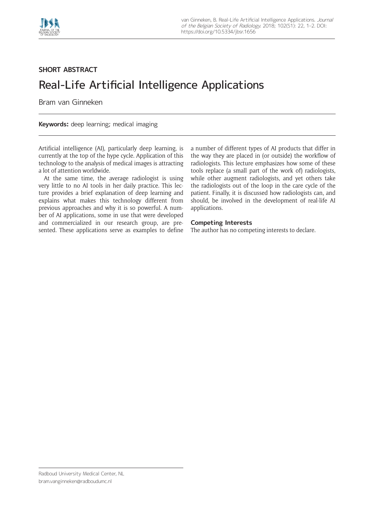

## **SHORT ABSTRACT** Real-Life Artificial Intelligence Applications

Bram van Ginneken

**Keywords:** deep learning; medical imaging

Artificial intelligence (AI), particularly deep learning, is currently at the top of the hype cycle. Application of this technology to the analysis of medical images is attracting a lot of attention worldwide.

At the same time, the average radiologist is using very little to no AI tools in her daily practice. This lecture provides a brief explanation of deep learning and explains what makes this technology different from previous approaches and why it is so powerful. A number of AI applications, some in use that were developed and commercialized in our research group, are presented. These applications serve as examples to define a number of different types of AI products that differ in the way they are placed in (or outside) the workflow of radiologists. This lecture emphasizes how some of these tools replace (a small part of the work of) radiologists, while other augment radiologists, and yet others take the radiologists out of the loop in the care cycle of the patient. Finally, it is discussed how radiologists can, and should, be involved in the development of real-life AI applications.

## **Competing Interests**

The author has no competing interests to declare.